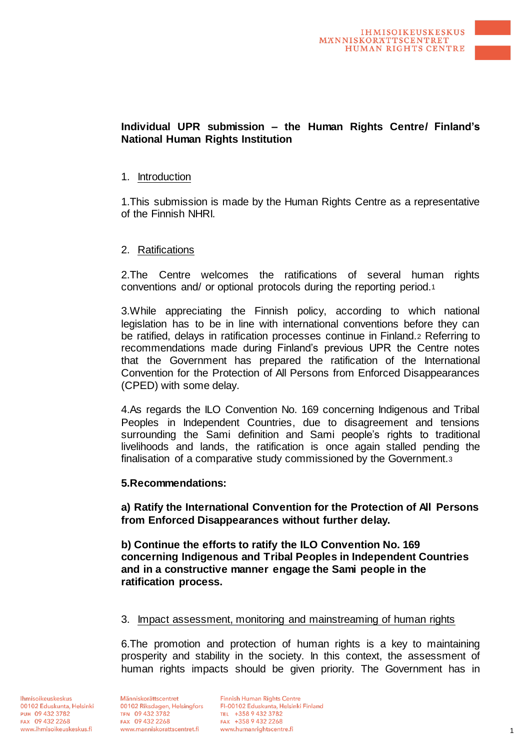# **Individual UPR submission – the Human Rights Centre/ Finland's National Human Rights Institution**

## 1. Introduction

1.This submission is made by the Human Rights Centre as a representative of the Finnish NHRI.

## 2. Ratifications

2.The Centre welcomes the ratifications of several human rights conventions and/ or optional protocols during the reporting period.<sup>1</sup>

3.While appreciating the Finnish policy, according to which national legislation has to be in line with international conventions before they can be ratified, delays in ratification processes continue in Finland.<sup>2</sup> Referring to recommendations made during Finland's previous UPR the Centre notes that the Government has prepared the ratification of the International Convention for the Protection of All Persons from Enforced Disappearances (CPED) with some delay.

4.As regards the ILO Convention No. 169 concerning Indigenous and Tribal Peoples in Independent Countries, due to disagreement and tensions surrounding the Sami definition and Sami people's rights to traditional livelihoods and lands, the ratification is once again stalled pending the finalisation of a comparative study commissioned by the Government.<sup>3</sup>

### **5.Recommendations:**

**a) Ratify the International Convention for the Protection of All Persons from Enforced Disappearances without further delay.**

**b) Continue the efforts to ratify the ILO Convention No. 169 concerning Indigenous and Tribal Peoples in Independent Countries and in a constructive manner engage the Sami people in the ratification process.**

### 3. Impact assessment, monitoring and mainstreaming of human rights

6.The promotion and protection of human rights is a key to maintaining prosperity and stability in the society. In this context, the assessment of human rights impacts should be given priority. The Government has in

Ihmisoikeuskeskus 00102 Eduskunta, Helsinki PUH 09 432 3782 FAX 09 432 2268 www.ihmisoikeuskeskus.fi

Människorättscentret 00102 Riksdagen, Helsingfors TFN 09 432 3782 FAX 09 432 2268 www.manniskorattscentret.fi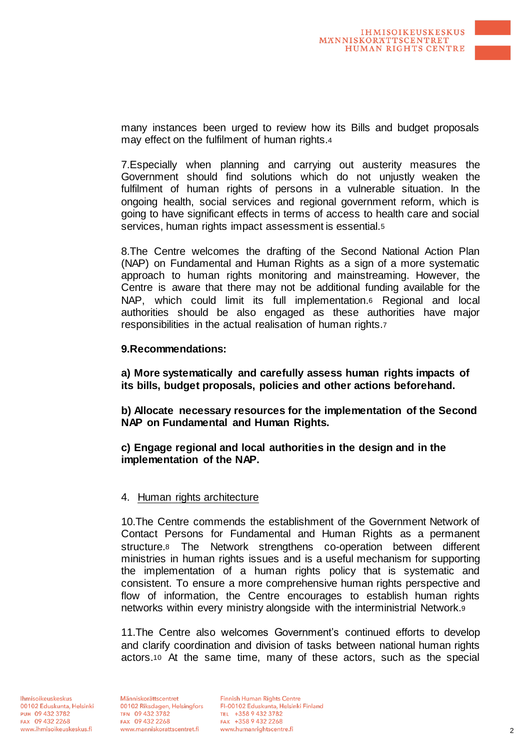many instances been urged to review how its Bills and budget proposals may effect on the fulfilment of human rights.<sup>4</sup>

7.Especially when planning and carrying out austerity measures the Government should find solutions which do not unjustly weaken the fulfilment of human rights of persons in a vulnerable situation. In the ongoing health, social services and regional government reform, which is going to have significant effects in terms of access to health care and social services, human rights impact assessment is essential.<sup>5</sup>

8.The Centre welcomes the drafting of the Second National Action Plan (NAP) on Fundamental and Human Rights as a sign of a more systematic approach to human rights monitoring and mainstreaming. However, the Centre is aware that there may not be additional funding available for the NAP, which could limit its full implementation.<sup>6</sup> Regional and local authorities should be also engaged as these authorities have major responsibilities in the actual realisation of human rights.<sup>7</sup>

### **9.Recommendations:**

**a) More systematically and carefully assess human rights impacts of its bills, budget proposals, policies and other actions beforehand.**

**b) Allocate necessary resources for the implementation of the Second NAP on Fundamental and Human Rights.**

**c) Engage regional and local authorities in the design and in the implementation of the NAP.**

### 4. Human rights architecture

10.The Centre commends the establishment of the Government Network of Contact Persons for Fundamental and Human Rights as a permanent structure.<sup>8</sup> The Network strengthens co-operation between different ministries in human rights issues and is a useful mechanism for supporting the implementation of a human rights policy that is systematic and consistent. To ensure a more comprehensive human rights perspective and flow of information, the Centre encourages to establish human rights networks within every ministry alongside with the interministrial Network.<sup>9</sup>

11.The Centre also welcomes Government's continued efforts to develop and clarify coordination and division of tasks between national human rights actors.<sup>10</sup> At the same time, many of these actors, such as the special

Människorättscentret 00102 Riksdagen, Helsingfors TFN 09 432 3782 FAX 09 432 2268 www.manniskorattscentret.fi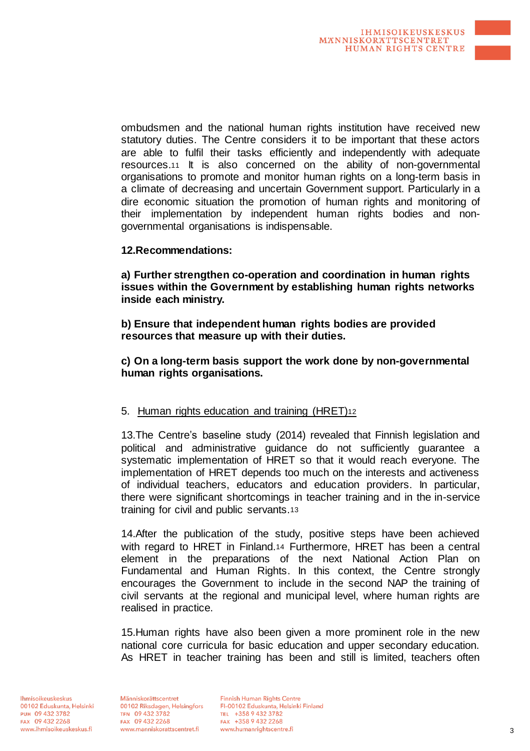ombudsmen and the national human rights institution have received new statutory duties. The Centre considers it to be important that these actors are able to fulfil their tasks efficiently and independently with adequate resources.<sup>11</sup> It is also concerned on the ability of non-governmental organisations to promote and monitor human rights on a long-term basis in a climate of decreasing and uncertain Government support. Particularly in a dire economic situation the promotion of human rights and monitoring of their implementation by independent human rights bodies and nongovernmental organisations is indispensable.

## **12.Recommendations:**

**a) Further strengthen co-operation and coordination in human rights issues within the Government by establishing human rights networks inside each ministry.**

**b) Ensure that independent human rights bodies are provided resources that measure up with their duties.**

**c) On a long-term basis support the work done by non-governmental human rights organisations.**

# 5. Human rights education and training (HRET)12

13.The Centre's baseline study (2014) revealed that Finnish legislation and political and administrative guidance do not sufficiently guarantee a systematic implementation of HRET so that it would reach everyone. The implementation of HRET depends too much on the interests and activeness of individual teachers, educators and education providers. In particular, there were significant shortcomings in teacher training and in the in-service training for civil and public servants.<sup>13</sup>

14.After the publication of the study, positive steps have been achieved with regard to HRET in Finland.<sup>14</sup> Furthermore, HRET has been a central element in the preparations of the next National Action Plan on Fundamental and Human Rights. In this context, the Centre strongly encourages the Government to include in the second NAP the training of civil servants at the regional and municipal level, where human rights are realised in practice.

15.Human rights have also been given a more prominent role in the new national core curricula for basic education and upper secondary education. As HRET in teacher training has been and still is limited, teachers often

Människorättscentret 00102 Riksdagen, Helsingfors TFN 09 432 3782 FAX 09 432 2268 www.manniskorattscentret.fi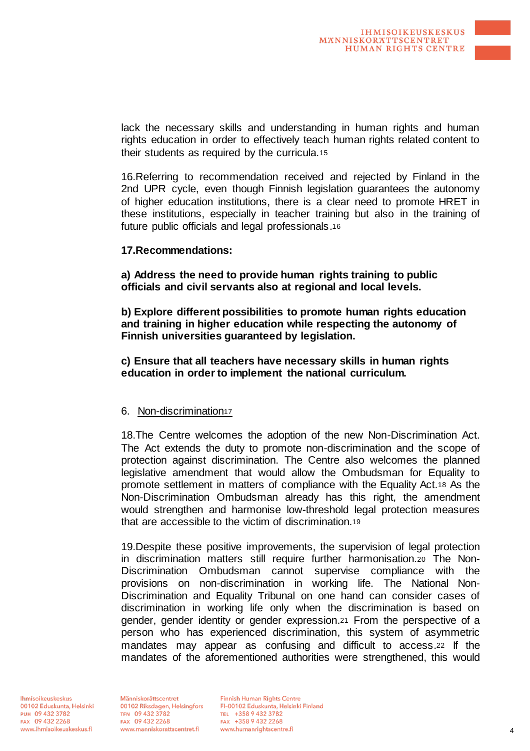lack the necessary skills and understanding in human rights and human rights education in order to effectively teach human rights related content to their students as required by the curricula.<sup>15</sup>

16.Referring to recommendation received and rejected by Finland in the 2nd UPR cycle, even though Finnish legislation guarantees the autonomy of higher education institutions, there is a clear need to promote HRET in these institutions, especially in teacher training but also in the training of future public officials and legal professionals.<sup>16</sup>

### **17.Recommendations:**

**a) Address the need to provide human rights training to public officials and civil servants also at regional and local levels.**

**b) Explore different possibilities to promote human rights education and training in higher education while respecting the autonomy of Finnish universities guaranteed by legislation.**

**c) Ensure that all teachers have necessary skills in human rights education in order to implement the national curriculum.**

#### 6. Non-discrimination<sup>17</sup>

18.The Centre welcomes the adoption of the new Non-Discrimination Act. The Act extends the duty to promote non-discrimination and the scope of protection against discrimination. The Centre also welcomes the planned legislative amendment that would allow the Ombudsman for Equality to promote settlement in matters of compliance with the Equality Act.<sup>18</sup> As the Non-Discrimination Ombudsman already has this right, the amendment would strengthen and harmonise low-threshold legal protection measures that are accessible to the victim of discrimination.<sup>19</sup>

19.Despite these positive improvements, the supervision of legal protection in discrimination matters still require further harmonisation.<sup>20</sup> The Non-Discrimination Ombudsman cannot supervise compliance with the provisions on non-discrimination in working life. The National Non-Discrimination and Equality Tribunal on one hand can consider cases of discrimination in working life only when the discrimination is based on gender, gender identity or gender expression.<sup>21</sup> From the perspective of a person who has experienced discrimination, this system of asymmetric mandates may appear as confusing and difficult to access.<sup>22</sup> If the mandates of the aforementioned authorities were strengthened, this would

Människorättscentret 00102 Riksdagen, Helsingfors TFN 09 432 3782 FAX 09 432 2268 www.manniskorattscentret.fi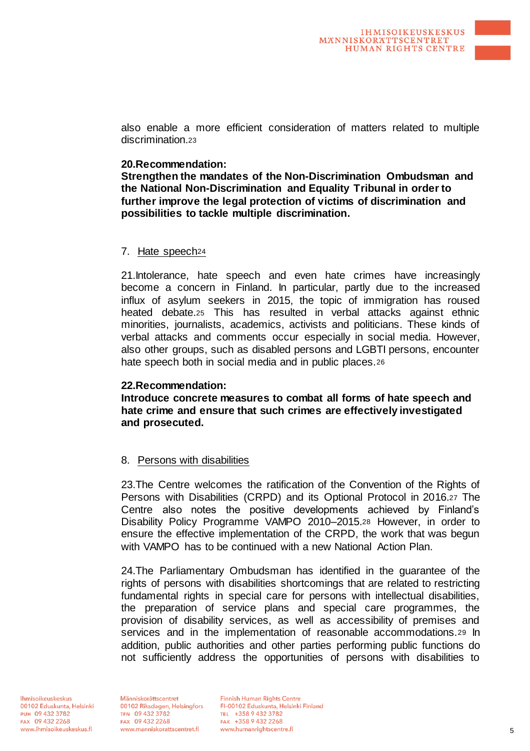also enable a more efficient consideration of matters related to multiple discrimination.<sup>23</sup>

### **20.Recommendation:**

**Strengthen the mandates of the Non-Discrimination Ombudsman and the National Non-Discrimination and Equality Tribunal in order to further improve the legal protection of victims of discrimination and possibilities to tackle multiple discrimination.**

### 7. Hate speech<sup>24</sup>

21.Intolerance, hate speech and even hate crimes have increasingly become a concern in Finland. In particular, partly due to the increased influx of asylum seekers in 2015, the topic of immigration has roused heated debate.<sup>25</sup> This has resulted in verbal attacks against ethnic minorities, journalists, academics, activists and politicians. These kinds of verbal attacks and comments occur especially in social media. However, also other groups, such as disabled persons and LGBTI persons, encounter hate speech both in social media and in public places.<sup>26</sup>

### **22.Recommendation:**

**Introduce concrete measures to combat all forms of hate speech and hate crime and ensure that such crimes are effectively investigated and prosecuted.**

# 8. Persons with disabilities

23.The Centre welcomes the ratification of the Convention of the Rights of Persons with Disabilities (CRPD) and its Optional Protocol in 2016.<sup>27</sup> The Centre also notes the positive developments achieved by Finland's Disability Policy Programme VAMPO 2010–2015.<sup>28</sup> However, in order to ensure the effective implementation of the CRPD, the work that was begun with VAMPO has to be continued with a new National Action Plan.

24.The Parliamentary Ombudsman has identified in the guarantee of the rights of persons with disabilities shortcomings that are related to restricting fundamental rights in special care for persons with intellectual disabilities, the preparation of service plans and special care programmes, the provision of disability services, as well as accessibility of premises and services and in the implementation of reasonable accommodations.<sup>29</sup> In addition, public authorities and other parties performing public functions do not sufficiently address the opportunities of persons with disabilities to

Människorättscentret 00102 Riksdagen, Helsingfors TFN 09 432 3782 FAX 09 432 2268 www.manniskorattscentret.fi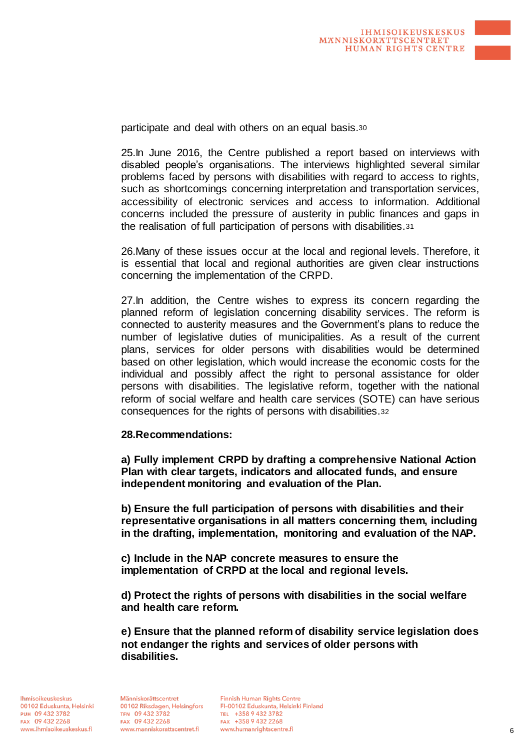participate and deal with others on an equal basis.<sup>30</sup>

25.In June 2016, the Centre published a report based on interviews with disabled people's organisations. The interviews highlighted several similar problems faced by persons with disabilities with regard to access to rights, such as shortcomings concerning interpretation and transportation services, accessibility of electronic services and access to information. Additional concerns included the pressure of austerity in public finances and gaps in the realisation of full participation of persons with disabilities.<sup>31</sup>

26.Many of these issues occur at the local and regional levels. Therefore, it is essential that local and regional authorities are given clear instructions concerning the implementation of the CRPD.

27.In addition, the Centre wishes to express its concern regarding the planned reform of legislation concerning disability services. The reform is connected to austerity measures and the Government's plans to reduce the number of legislative duties of municipalities. As a result of the current plans, services for older persons with disabilities would be determined based on other legislation, which would increase the economic costs for the individual and possibly affect the right to personal assistance for older persons with disabilities. The legislative reform, together with the national reform of social welfare and health care services (SOTE) can have serious consequences for the rights of persons with disabilities.<sup>32</sup>

#### **28.Recommendations:**

**a) Fully implement CRPD by drafting a comprehensive National Action Plan with clear targets, indicators and allocated funds, and ensure independent monitoring and evaluation of the Plan.**

**b) Ensure the full participation of persons with disabilities and their representative organisations in all matters concerning them, including in the drafting, implementation, monitoring and evaluation of the NAP.**

**c) Include in the NAP concrete measures to ensure the implementation of CRPD at the local and regional levels.**

**d) Protect the rights of persons with disabilities in the social welfare and health care reform.**

**e) Ensure that the planned reform of disability service legislation does not endanger the rights and services of older persons with disabilities.**

Människorättscentret 00102 Riksdagen, Helsingfors TFN 09 432 3782 FAX 09 432 2268 www.manniskorattscentret.fi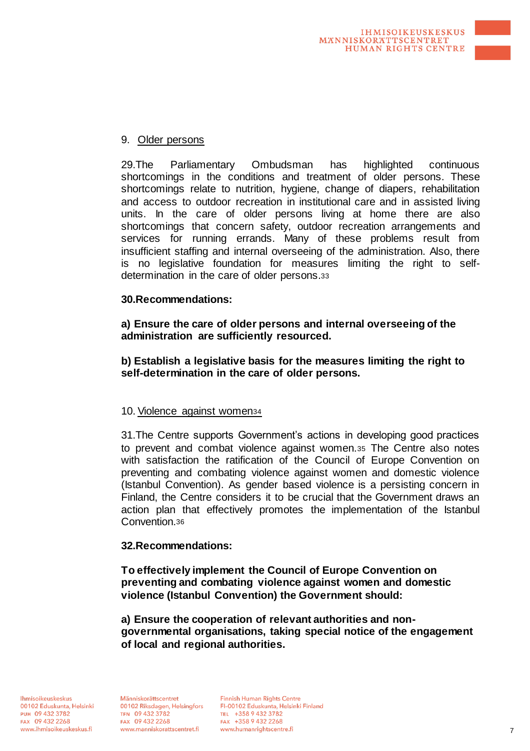

# 9. Older persons

29.The Parliamentary Ombudsman has highlighted continuous shortcomings in the conditions and treatment of older persons. These shortcomings relate to nutrition, hygiene, change of diapers, rehabilitation and access to outdoor recreation in institutional care and in assisted living units. In the care of older persons living at home there are also shortcomings that concern safety, outdoor recreation arrangements and services for running errands. Many of these problems result from insufficient staffing and internal overseeing of the administration. Also, there is no legislative foundation for measures limiting the right to selfdetermination in the care of older persons.<sup>33</sup>

# **30.Recommendations:**

**a) Ensure the care of older persons and internal overseeing of the administration are sufficiently resourced.**

**b) Establish a legislative basis for the measures limiting the right to self-determination in the care of older persons.**

# 10. Violence against women<sup>34</sup>

31.The Centre supports Government's actions in developing good practices to prevent and combat violence against women.<sup>35</sup> The Centre also notes with satisfaction the ratification of the Council of Europe Convention on preventing and combating violence against women and domestic violence (Istanbul Convention). As gender based violence is a persisting concern in Finland, the Centre considers it to be crucial that the Government draws an action plan that effectively promotes the implementation of the Istanbul Convention.<sup>36</sup>

# **32.Recommendations:**

**To effectively implement the Council of Europe Convention on preventing and combating violence against women and domestic violence (Istanbul Convention) the Government should:**

**a) Ensure the cooperation of relevant authorities and nongovernmental organisations, taking special notice of the engagement of local and regional authorities.**

Människorättscentret 00102 Riksdagen, Helsingfors TFN 09 432 3782 FAX 09 432 2268 www.manniskorattscentret.fi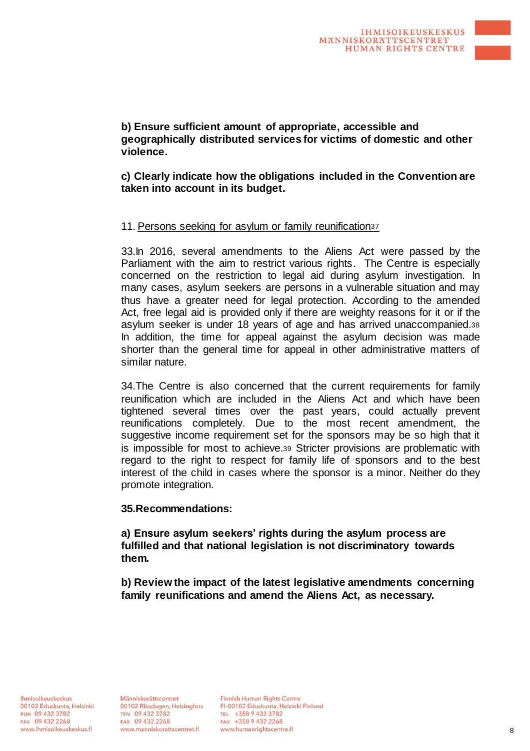**b) Ensure sufficient amount of appropriate, accessible and geographically distributed services for victims of domestic and other violence.**

**c) Clearly indicate how the obligations included in the Convention are taken into account in its budget.**

## 11. Persons seeking for asylum or family reunification<sup>37</sup>

33.In 2016, several amendments to the Aliens Act were passed by the Parliament with the aim to restrict various rights. The Centre is especially concerned on the restriction to legal aid during asylum investigation. In many cases, asylum seekers are persons in a vulnerable situation and may thus have a greater need for legal protection. According to the amended Act, free legal aid is provided only if there are weighty reasons for it or if the asylum seeker is under 18 years of age and has arrived unaccompanied.<sup>38</sup> In addition, the time for appeal against the asylum decision was made shorter than the general time for appeal in other administrative matters of similar nature.

34.The Centre is also concerned that the current requirements for family reunification which are included in the Aliens Act and which have been tightened several times over the past years, could actually prevent reunifications completely. Due to the most recent amendment, the suggestive income requirement set for the sponsors may be so high that it is impossible for most to achieve.<sup>39</sup> Stricter provisions are problematic with regard to the right to respect for family life of sponsors and to the best interest of the child in cases where the sponsor is a minor. Neither do they promote integration.

### **35.Recommendations:**

**a) Ensure asylum seekers' rights during the asylum process are fulfilled and that national legislation is not discriminatory towards them.**

**b) Review the impact of the latest legislative amendments concerning family reunifications and amend the Aliens Act, as necessary.**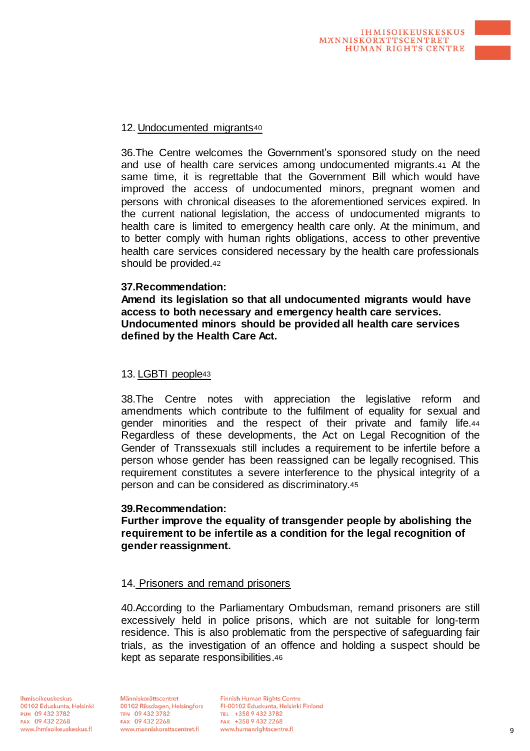

36.The Centre welcomes the Government's sponsored study on the need and use of health care services among undocumented migrants.<sup>41</sup> At the same time, it is regrettable that the Government Bill which would have improved the access of undocumented minors, pregnant women and persons with chronical diseases to the aforementioned services expired. In the current national legislation, the access of undocumented migrants to health care is limited to emergency health care only. At the minimum, and to better comply with human rights obligations, access to other preventive health care services considered necessary by the health care professionals should be provided.<sup>42</sup>

### **37.Recommendation:**

**Amend its legislation so that all undocumented migrants would have access to both necessary and emergency health care services. Undocumented minors should be provided all health care services defined by the Health Care Act.**

#### 13. LGBTI people<sup>43</sup>

38.The Centre notes with appreciation the legislative reform and amendments which contribute to the fulfilment of equality for sexual and gender minorities and the respect of their private and family life.<sup>44</sup> Regardless of these developments, the Act on Legal Recognition of the Gender of Transsexuals still includes a requirement to be infertile before a person whose gender has been reassigned can be legally recognised. This requirement constitutes a severe interference to the physical integrity of a person and can be considered as discriminatory.<sup>45</sup>

#### **39.Recommendation:**

**Further improve the equality of transgender people by abolishing the requirement to be infertile as a condition for the legal recognition of gender reassignment.**

### 14. Prisoners and remand prisoners

40.According to the Parliamentary Ombudsman, remand prisoners are still excessively held in police prisons, which are not suitable for long-term residence. This is also problematic from the perspective of safeguarding fair trials, as the investigation of an offence and holding a suspect should be kept as separate responsibilities.46

Människorättscentret 00102 Riksdagen, Helsingfors TFN 09 432 3782 FAX 09 432 2268 www.manniskorattscentret.fi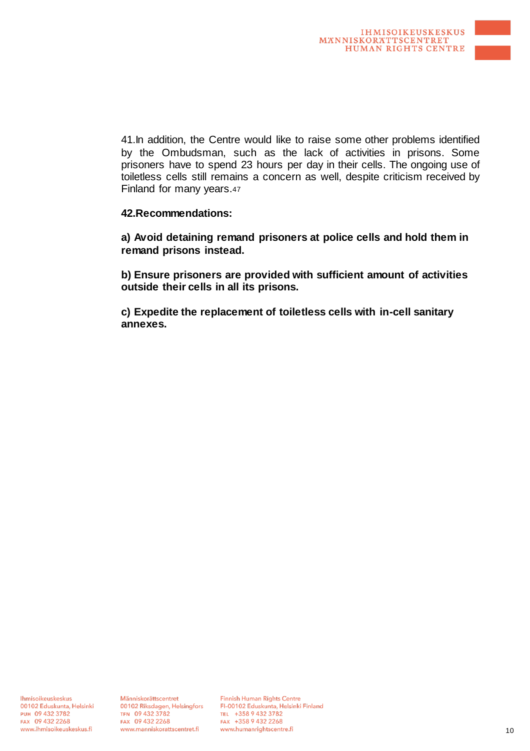41.In addition, the Centre would like to raise some other problems identified by the Ombudsman, such as the lack of activities in prisons. Some prisoners have to spend 23 hours per day in their cells. The ongoing use of toiletless cells still remains a concern as well, despite criticism received by Finland for many years.<sup>47</sup>

## **42.Recommendations:**

**a) Avoid detaining remand prisoners at police cells and hold them in remand prisons instead.**

**b) Ensure prisoners are provided with sufficient amount of activities outside their cells in all its prisons.**

**c) Expedite the replacement of toiletless cells with in-cell sanitary annexes.**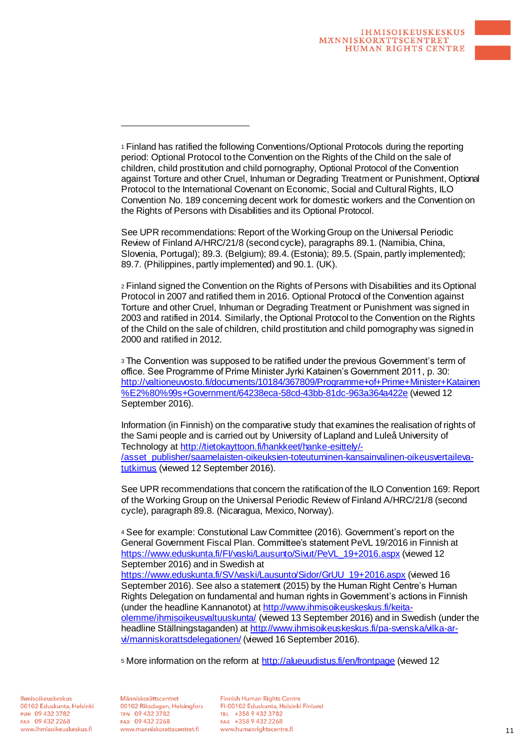See UPR recommendations: Report of the Working Group on the Universal Periodic Review of Finland A/HRC/21/8 (second cycle), paragraphs 89.1. (Namibia, China, Slovenia, Portugal); 89.3. (Belgium); 89.4. (Estonia); 89.5. (Spain, partly implemented); 89.7. (Philippines, partly implemented) and 90.1. (UK).

<sup>2</sup> Finland signed the Convention on the Rights of Persons with Disabilities and its Optional Protocol in 2007 and ratified them in 2016. Optional Protocol of the Convention against Torture and other Cruel, Inhuman or Degrading Treatment or Punishment was signed in 2003 and ratified in 2014. Similarly, the Optional Protocol to the Convention on the Rights of the Child on the sale of children, child prostitution and child pornography was signed in 2000 and ratified in 2012.

<sup>3</sup> The Convention was supposed to be ratified under the previous Government's term of office. See Programme of Prime Minister Jyrki Katainen's Government 2011, p. 30: http://valtioneuvosto.fi/documents/10184/367809/Programme+of+Prime+Minister+Katainen %E2%80%99s+Government/64238eca-58cd-43bb-81dc-963a364a422e (viewed 12 September 2016).

Information (in Finnish) on the comparative study that examines the realisation of rights of the Sami people and is carried out by University of Lapland and Luleå University of Technology at http://tietokayttoon.fi/hankkeet/hanke-esittely/-/asset\_publisher/saamelaisten-oikeuksien-toteutuminen-kansainvalinen-oikeusvertailevatutkimus (viewed 12 September 2016).

See UPR recommendations that concern the ratification of the ILO Convention 169: Report of the Working Group on the Universal Periodic Review of Finland A/HRC/21/8 (second cycle), paragraph 89.8. (Nicaragua, Mexico, Norway).

<sup>4</sup> See for example: Constutional Law Committee (2016). Government's report on the General Government Fiscal Plan. Committee's statement PeVL 19/2016 in Finnish at https://www.eduskunta.fi/FI/vaski/Lausunto/Sivut/PeVL\_19+2016.aspx (viewed 12 September 2016) and in Swedish at https://www.eduskunta.fi/SV/vaski/Lausunto/Sidor/GrUU\_19+2016.aspx (viewed 16 September 2016). See also a statement (2015) by the Human Right Centre's Human Rights Delegation on fundamental and human rights in Government's actions in Finnish (under the headline Kannanotot) at http://www.ihmisoikeuskeskus.fi/keitaolemme/ihmisoikeusvaltuuskunta/ (viewed 13 September 2016) and in Swedish (under the headline Ställningstaganden) at http://www.ihmisoikeuskeskus.fi/pa-svenska/vilka-arvi/manniskorattsdelegationen/ (viewed 16 September 2016).

<sup>5</sup> More information on the reform at http://alueuudistus.fi/en/frontpage (viewed 12

Ihmisoikeuskeskus 00102 Eduskunta, Helsinki PUH 09 432 3782 FAX 09 432 2268 www.ihmisoikeuskeskus.fi

Människorättscentret 00102 Riksdagen, Helsingfors TFN 09 432 3782 FAX 09 432 2268 www.manniskorattscentret.fi

-

<sup>1</sup> Finland has ratified the following Conventions/Optional Protocols during the reporting period: Optional Protocol to the Convention on the Rights of the Child on the sale of children, child prostitution and child pornography, Optional Protocol of the Convention against Torture and other Cruel, Inhuman or Degrading Treatment or Punishment, Optional Protocol to the International Covenant on Economic, Social and Cultural Rights, ILO Convention No. 189 concerning decent work for domestic workers and the Convention on the Rights of Persons with Disabilities and its Optional Protocol.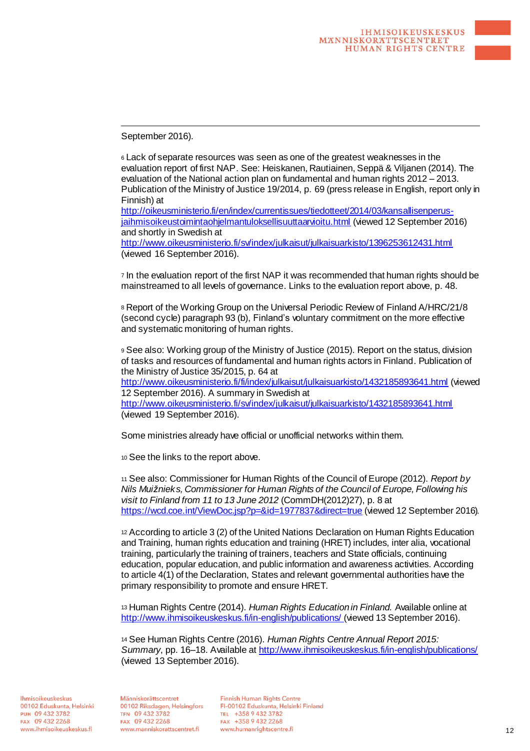September 2016).

-

<sup>6</sup> Lack of separate resources was seen as one of the greatest weaknesses in the evaluation report of first NAP. See: Heiskanen, Rautiainen, Seppä & Viljanen (2014). The evaluation of the National action plan on fundamental and human rights 2012 – 2013. Publication of the Ministry of Justice 19/2014, p. 69 (press release in English, report only in Finnish) at

http://oikeusministerio.fi/en/index/currentissues/tiedotteet/2014/03/kansallisenperusjaihmisoikeustoimintaohjelmantuloksellisuuttaarvioitu.html (viewed 12 September 2016) and shortly in Swedish at

http://www.oikeusministerio.fi/sv/index/julkaisut/julkaisuarkisto/1396253612431.html (viewed 16 September 2016).

<sup>7</sup> In the evaluation report of the first NAP it was recommended that human rights should be mainstreamed to all levels of governance. Links to the evaluation report above, p. 48.

<sup>8</sup> Report of the Working Group on the Universal Periodic Review of Finland A/HRC/21/8 (second cycle) paragraph 93 (b), Finland's voluntary commitment on the more effective and systematic monitoring of human rights.

<sup>9</sup> See also: Working group of the Ministry of Justice (2015). Report on the status, division of tasks and resources of fundamental and human rights actors in Finland. Publication of the Ministry of Justice 35/2015, p. 64 at http://www.oikeusministerio.fi/fi/index/julkaisut/julkaisuarkisto/1432185893641.html (viewed 12 September 2016). A summary in Swedish at http://www.oikeusministerio.fi/sv/index/julkaisut/julkaisuarkisto/1432185893641.html (viewed 19 September 2016).

Some ministries already have official or unofficial networks within them.

<sup>10</sup> See the links to the report above.

<sup>11</sup> See also: Commissioner for Human Rights of the Council of Europe (2012). *Report by Nils Muižnieks, Commissioner for Human Rights of the Council of Europe, Following his visit to Finland from 11 to 13 June 2012* (CommDH(2012)27), p. 8 at https://wcd.coe.int/ViewDoc.jsp?p=&id=1977837&direct=true (viewed 12 September 2016).

<sup>12</sup> According to article 3 (2) of the United Nations Declaration on Human Rights Education and Training, human rights education and training (HRET) includes, inter alia, vocational training, particularly the training of trainers, teachers and State officials, continuing education, popular education, and public information and awareness activities. According to article 4(1) of the Declaration, States and relevant governmental authorities have the primary responsibility to promote and ensure HRET.

<sup>13</sup> Human Rights Centre (2014). *Human Rights Education in Finland.* Available online at http://www.ihmisoikeuskeskus.fi/in-english/publications/ (viewed 13 September 2016).

<sup>14</sup> See Human Rights Centre (2016). *Human Rights Centre Annual Report 2015: Summary*, pp. 16–18. Available at http://www.ihmisoikeuskeskus.fi/in-english/publications/ (viewed 13 September 2016).

Ihmisoikeuskeskus 00102 Eduskunta, Helsinki PUH 09 432 3782 FAX 09 432 2268 www.ihmisoikeuskeskus.fi

Människorättscentret 00102 Riksdagen, Helsingfors TFN 09 432 3782 FAX 09 432 2268 www.manniskorattscentret.fi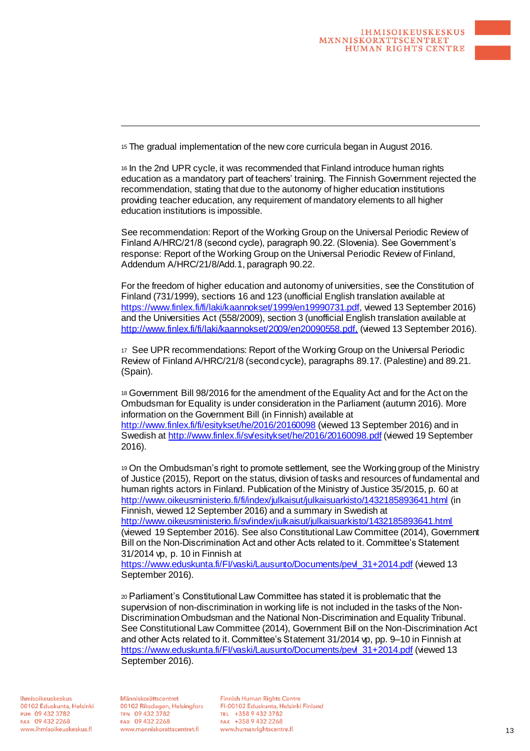<sup>15</sup> The gradual implementation of the new core curricula began in August 2016.

<sup>16</sup> In the 2nd UPR cycle, it was recommended that Finland introduce human rights education as a mandatory part of teachers' training. The Finnish Government rejected the recommendation, stating that due to the autonomy of higher education institutions providing teacher education, any requirement of mandatory elements to all higher education institutions is impossible.

See recommendation: Report of the Working Group on the Universal Periodic Review of Finland A/HRC/21/8 (second cycle), paragraph 90.22. (Slovenia). See Government's response: Report of the Working Group on the Universal Periodic Review of Finland, Addendum A/HRC/21/8/Add.1, paragraph 90.22.

For the freedom of higher education and autonomy of universities, see the Constitution of Finland (731/1999), sections 16 and 123 (unofficial English translation available at https://www.finlex.fi/fi/laki/kaannokset/1999/en19990731.pdf, viewed 13 September 2016) and the Universities Act (558/2009), section 3 (unofficial English translation available at http://www.finlex.fi/fi/laki/kaannokset/2009/en20090558.pdf, (viewed 13 September 2016).

<sup>17</sup> See UPR recommendations: Report of the Working Group on the Universal Periodic Review of Finland A/HRC/21/8 (second cycle), paragraphs 89.17. (Palestine) and 89.21. (Spain).

<sup>18</sup> Government Bill 98/2016 for the amendment of the Equality Act and for the Act on the Ombudsman for Equality is under consideration in the Parliament (autumn 2016). More information on the Government Bill (in Finnish) available at http://www.finlex.fi/fi/esitykset/he/2016/20160098 (viewed 13 September 2016) and in Swedish at http://www.finlex.fi/sv/esitykset/he/2016/20160098.pdf (viewed 19 September 2016).

<sup>19</sup> On the Ombudsman's right to promote settlement, see the Working group of the Ministry of Justice (2015), Report on the status, division of tasks and resources of fundamental and human rights actors in Finland. Publication of the Ministry of Justice 35/2015, p. 60 at http://www.oikeusministerio.fi/fi/index/julkaisut/julkaisuarkisto/1432185893641.html (in Finnish, viewed 12 September 2016) and a summary in Swedish at http://www.oikeusministerio.fi/sv/index/julkaisut/julkaisuarkisto/1432185893641.html (viewed 19 September 2016). See also Constitutional Law Committee (2014), Government

Bill on the Non-Discrimination Act and other Acts related to it. Committee's Statement 31/2014 vp, p. 10 in Finnish at https://www.eduskunta.fi/FI/vaski/Lausunto/Documents/pevl\_31+2014.pdf (viewed 13

September 2016).

<sup>20</sup> Parliament's Constitutional Law Committee has stated it is problematic that the supervision of non-discrimination in working life is not included in the tasks of the Non-Discrimination Ombudsman and the National Non-Discrimination and Equality Tribunal. See Constitutional Law Committee (2014), Government Bill on the Non-Discrimination Act and other Acts related to it. Committee's Statement 31/2014 vp, pp. 9–10 in Finnish at https://www.eduskunta.fi/FI/vaski/Lausunto/Documents/pevl\_31+2014.pdf (viewed 13 September 2016).

Ihmisoikeuskeskus 00102 Eduskunta, Helsinki PUH 09 432 3782 FAX 09 432 2268 www.ihmisoikeuskeskus.fi

Människorättscentret 00102 Riksdagen, Helsingfors TFN 09 432 3782 FAX 09 432 2268 www.manniskorattscentret.fi

-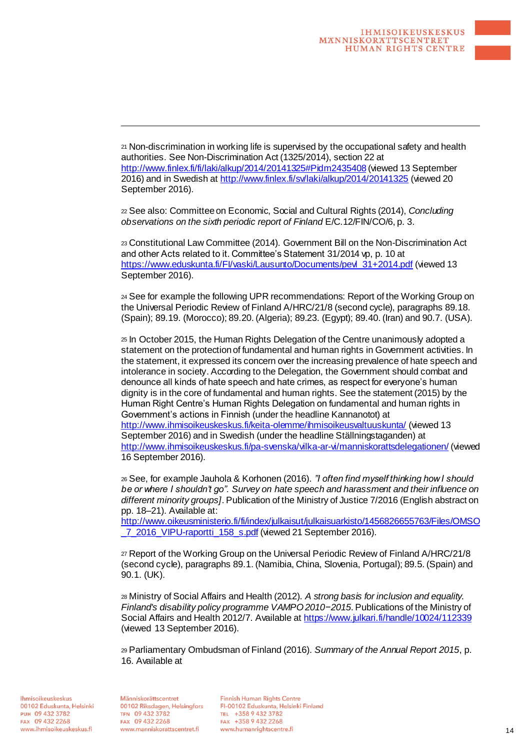<sup>21</sup> Non-discrimination in working life is supervised by the occupational safety and health authorities. See Non-Discrimination Act (1325/2014), section 22 at http://www.finlex.fi/fi/laki/alkup/2014/20141325#Pidm2435408 (viewed 13 September 2016) and in Swedish at http://www.finlex.fi/sv/laki/alkup/2014/20141325 (viewed 20 September 2016).

<sup>22</sup> See also: Committee on Economic, Social and Cultural Rights (2014), *Concluding observations on the sixth periodic report of Finland* E/C.12/FIN/CO/6, p. 3.

<sup>23</sup> Constitutional Law Committee (2014). Government Bill on the Non-Discrimination Act and other Acts related to it. Committee's Statement 31/2014 vp, p. 10 at https://www.eduskunta.fi/FI/vaski/Lausunto/Documents/pevl\_31+2014.pdf (viewed 13 September 2016).

<sup>24</sup> See for example the following UPR recommendations: Report of the Working Group on the Universal Periodic Review of Finland A/HRC/21/8 (second cycle), paragraphs 89.18. (Spain); 89.19. (Morocco); 89.20. (Algeria); 89.23. (Egypt); 89.40. (Iran) and 90.7. (USA).

<sup>25</sup> In October 2015, the Human Rights Delegation of the Centre unanimously adopted a statement on the protection of fundamental and human rights in Government activities. In the statement, it expressed its concern over the increasing prevalence of hate speech and intolerance in society. According to the Delegation, the Government should combat and denounce all kinds of hate speech and hate crimes, as respect for everyone's human dignity is in the core of fundamental and human rights. See the statement (2015) by the Human Right Centre's Human Rights Delegation on fundamental and human rights in Government's actions in Finnish (under the headline Kannanotot) at http://www.ihmisoikeuskeskus.fi/keita-olemme/ihmisoikeusvaltuuskunta/ (viewed 13 September 2016) and in Swedish (under the headline Ställningstaganden) at http://www.ihmisoikeuskeskus.fi/pa-svenska/vilka-ar-vi/manniskorattsdelegationen/ (viewed 16 September 2016).

<sup>26</sup> See, for example Jauhola & Korhonen (2016). *"I often find myself thinking how I should be or where I shouldn't go". Survey on hate speech and harassment and their influence on different minority groups]*. Publication of the Ministry of Justice 7/2016 (English abstract on pp. 18–21). Available at:

http://www.oikeusministerio.fi/fi/index/julkaisut/julkaisuarkisto/1456826655763/Files/OMSO \_7\_2016\_VIPU-raportti\_158\_s.pdf (viewed 21 September 2016).

<sup>27</sup> Report of the Working Group on the Universal Periodic Review of Finland A/HRC/21/8 (second cycle), paragraphs 89.1. (Namibia, China, Slovenia, Portugal); 89.5. (Spain) and 90.1. (UK).

<sup>28</sup> Ministry of Social Affairs and Health (2012). *A strong basis for inclusion and equality. Finland's disability policy programme VAMPO 2010−2015*. Publications of the Ministry of Social Affairs and Health 2012/7. Available at https://www.julkari.fi/handle/10024/112339 (viewed 13 September 2016).

<sup>29</sup> Parliamentary Ombudsman of Finland (2016). *Summary of the Annual Report 2015*, p. 16. Available at

Ihmisoikeuskeskus 00102 Eduskunta, Helsinki PUH 09 432 3782 FAX 09 432 2268 www.ihmisoikeuskeskus.fi

Människorättscentret 00102 Riksdagen, Helsingfors TFN 09 432 3782 FAX 09 432 2268 www.manniskorattscentret.fi

-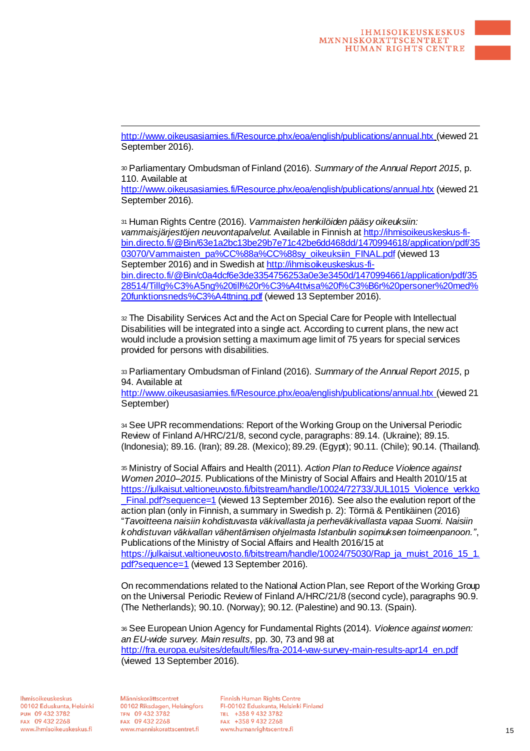http://www.oikeusasiamies.fi/Resource.phx/eoa/english/publications/annual.htx (viewed 21 September 2016).

<sup>30</sup> Parliamentary Ombudsman of Finland (2016). *Summary of the Annual Report 2015*, p. 110. Available at

http://www.oikeusasiamies.fi/Resource.phx/eoa/english/publications/annual.htx (viewed 21 September 2016).

<sup>31</sup> Human Rights Centre (2016). *Vammaisten henkilöiden pääsy oikeuksiin: vammaisjärjestöjen neuvontapalvelut.* Available in Finnish at http://ihmisoikeuskeskus-fibin.directo.fi/@Bin/63e1a2bc13be29b7e71c42be6dd468dd/1470994618/application/pdf/35 03070/Vammaisten\_pa%CC%88a%CC%88sy\_oikeuksiin\_FINAL.pdf (viewed 13 September 2016) and in Swedish at http://ihmisoikeuskeskus-fibin.directo.fi/@Bin/c0a4dcf6e3de3354756253a0e3e3450d/1470994661/application/pdf/35 28514/Tillg%C3%A5ng%20till%20r%C3%A4ttvisa%20f%C3%B6r%20personer%20med% 20funktionsneds%C3%A4ttning.pdf (viewed 13 September 2016).

<sup>32</sup> The Disability Services Act and the Act on Special Care for People with Intellectual Disabilities will be integrated into a single act. According to current plans, the new act would include a provision setting a maximum age limit of 75 years for special services provided for persons with disabilities.

<sup>33</sup> Parliamentary Ombudsman of Finland (2016). *Summary of the Annual Report 2015*, p 94. Available at

http://www.oikeusasiamies.fi/Resource.phx/eoa/english/publications/annual.htx (viewed 21 September)

<sup>34</sup> See UPR recommendations: Report of the Working Group on the Universal Periodic Review of Finland A/HRC/21/8, second cycle, paragraphs: 89.14. (Ukraine); 89.15. (Indonesia); 89.16. (Iran); 89.28. (Mexico); 89.29. (Egypt); 90.11. (Chile); 90.14. (Thailand).

<sup>35</sup> Ministry of Social Affairs and Health (2011). *Action Plan to Reduce Violence against Women 2010–2015*. Publications of the Ministry of Social Affairs and Health 2010/15 at https://julkaisut.valtioneuvosto.fi/bitstream/handle/10024/72733/JUL1015\_Violence\_verkko Final.pdf?sequence=1 (viewed 13 September 2016). See also the evalution report of the action plan (only in Finnish, a summary in Swedish p. 2): Törmä & Pentikäinen (2016) "*Tavoitteena naisiin kohdistuvasta väkivallasta ja perheväkivallasta vapaa Suomi. Naisiin kohdistuvan väkivallan vähentämisen ohjelmasta Istanbulin sopimuksen toimeenpanoon."*, Publications of the Ministry of Social Affairs and Health 2016/15 at https://julkaisut.valtioneuvosto.fi/bitstream/handle/10024/75030/Rap\_ja\_muist\_2016\_15\_1. pdf?sequence=1 (viewed 13 September 2016).

On recommendations related to the National Action Plan, see Report of the Working Group on the Universal Periodic Review of Finland A/HRC/21/8 (second cycle), paragraphs 90.9. (The Netherlands); 90.10. (Norway); 90.12. (Palestine) and 90.13. (Spain).

<sup>36</sup> See European Union Agency for Fundamental Rights (2014). *Violence against women: an EU-wide survey. Main results,* pp. 30, 73 and 98 at http://fra.europa.eu/sites/default/files/fra-2014-vaw-survey-main-results-apr14\_en.pdf (viewed 13 September 2016).

Ihmisoikeuskeskus 00102 Eduskunta, Helsinki PUH 09 432 3782 FAX 09 432 2268 www.ihmisoikeuskeskus.fi

Människorättscentret 00102 Riksdagen, Helsingfors TFN 09 432 3782 FAX 09 432 2268 www.manniskorattscentret.fi

-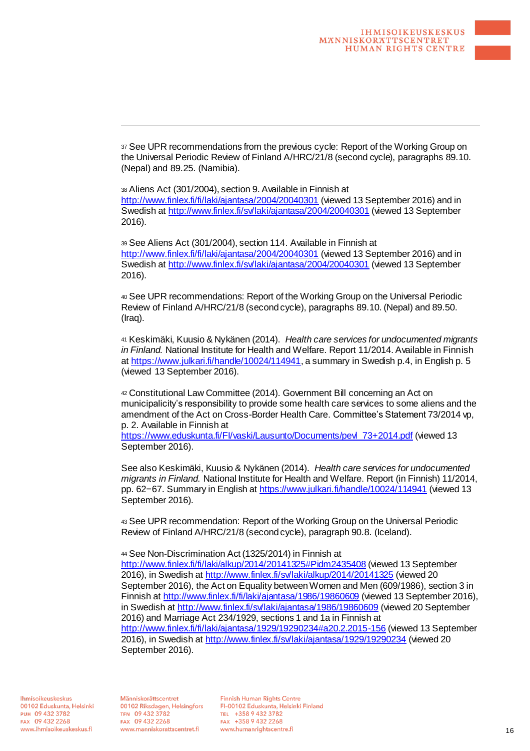<sup>37</sup> See UPR recommendations from the previous cycle: Report of the Working Group on the Universal Periodic Review of Finland A/HRC/21/8 (second cycle), paragraphs 89.10. (Nepal) and 89.25. (Namibia).

<sup>38</sup> Aliens Act (301/2004), section 9. Available in Finnish at http://www.finlex.fi/fi/laki/ajantasa/2004/20040301 (viewed 13 September 2016) and in Swedish at http://www.finlex.fi/sv/laki/ajantasa/2004/20040301 (viewed 13 September 2016).

<sup>39</sup> See Aliens Act (301/2004), section 114. Available in Finnish at http://www.finlex.fi/fi/laki/ajantasa/2004/20040301 (viewed 13 September 2016) and in Swedish at http://www.finlex.fi/sv/laki/ajantasa/2004/20040301 (viewed 13 September 2016).

<sup>40</sup> See UPR recommendations: Report of the Working Group on the Universal Periodic Review of Finland A/HRC/21/8 (second cycle), paragraphs 89.10. (Nepal) and 89.50. (Iraq).

<sup>41</sup> Keskimäki, Kuusio & Nykänen (2014). *Health care services for undocumented migrants in Finland.* National Institute for Health and Welfare. Report 11/2014. Available in Finnish at https://www.julkari.fi/handle/10024/114941, a summary in Swedish p.4, in English p. 5 (viewed 13 September 2016).

<sup>42</sup> Constitutional Law Committee (2014). Government Bill concerning an Act on municipalicity's responsibility to provide some health care services to some aliens and the amendment of the Act on Cross-Border Health Care. Committee's Statement 73/2014 vp, p. 2. Available in Finnish at

https://www.eduskunta.fi/FI/vaski/Lausunto/Documents/pevl\_73+2014.pdf (viewed 13 September 2016).

See also Keskimäki, Kuusio & Nykänen (2014). *Health care services for undocumented migrants in Finland.* National Institute for Health and Welfare. Report (in Finnish) 11/2014, pp. 62−67. Summary in English at https://www.julkari.fi/handle/10024/114941 (viewed 13 September 2016).

<sup>43</sup> See UPR recommendation: Report of the Working Group on the Universal Periodic Review of Finland A/HRC/21/8 (second cycle), paragraph 90.8. (Iceland).

<sup>44</sup> See Non-Discrimination Act (1325/2014) in Finnish at http://www.finlex.fi/fi/laki/alkup/2014/20141325#Pidm2435408 (viewed 13 September 2016), in Swedish at http://www.finlex.fi/sv/laki/alkup/2014/20141325 (viewed 20 September 2016), the Act on Equality between Women and Men (609/1986), section 3 in Finnish at http://www.finlex.fi/fi/laki/ajantasa/1986/19860609 (viewed 13 September 2016), in Swedish at http://www.finlex.fi/sv/laki/ajantasa/1986/19860609 (viewed 20 September 2016) and Marriage Act 234/1929, sections 1 and 1a in Finnish at http://www.finlex.fi/fi/laki/ajantasa/1929/19290234#a20.2.2015-156 (viewed 13 September 2016), in Swedish at http://www.finlex.fi/sv/laki/ajantasa/1929/19290234 (viewed 20 September 2016).

Människorättscentret 00102 Riksdagen, Helsingfors TFN 09 432 3782 FAX 09 432 2268 www.manniskorattscentret.fi

-